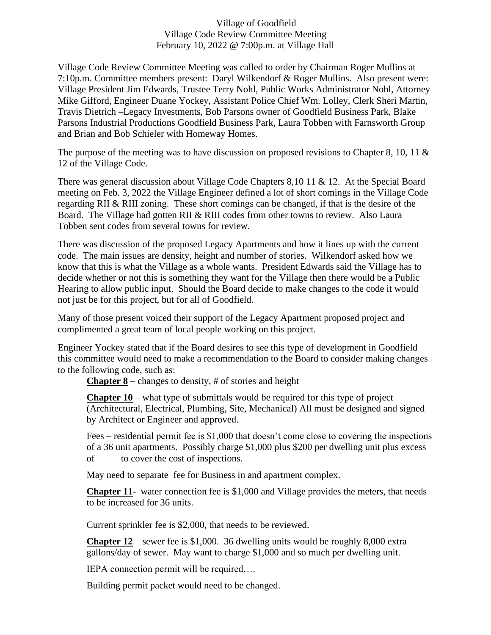## Village of Goodfield Village Code Review Committee Meeting February 10, 2022 @ 7:00p.m. at Village Hall

Village Code Review Committee Meeting was called to order by Chairman Roger Mullins at 7:10p.m. Committee members present: Daryl Wilkendorf & Roger Mullins. Also present were: Village President Jim Edwards, Trustee Terry Nohl, Public Works Administrator Nohl, Attorney Mike Gifford, Engineer Duane Yockey, Assistant Police Chief Wm. Lolley, Clerk Sheri Martin, Travis Dietrich –Legacy Investments, Bob Parsons owner of Goodfield Business Park, Blake Parsons Industrial Productions Goodfield Business Park, Laura Tobben with Farnsworth Group and Brian and Bob Schieler with Homeway Homes.

The purpose of the meeting was to have discussion on proposed revisions to Chapter 8, 10, 11  $\&$ 12 of the Village Code.

There was general discussion about Village Code Chapters 8,10 11 & 12. At the Special Board meeting on Feb. 3, 2022 the Village Engineer defined a lot of short comings in the Village Code regarding RII & RIII zoning. These short comings can be changed, if that is the desire of the Board. The Village had gotten RII & RIII codes from other towns to review. Also Laura Tobben sent codes from several towns for review.

There was discussion of the proposed Legacy Apartments and how it lines up with the current code. The main issues are density, height and number of stories. Wilkendorf asked how we know that this is what the Village as a whole wants. President Edwards said the Village has to decide whether or not this is something they want for the Village then there would be a Public Hearing to allow public input. Should the Board decide to make changes to the code it would not just be for this project, but for all of Goodfield.

Many of those present voiced their support of the Legacy Apartment proposed project and complimented a great team of local people working on this project.

Engineer Yockey stated that if the Board desires to see this type of development in Goodfield this committee would need to make a recommendation to the Board to consider making changes to the following code, such as:

**Chapter 8** – changes to density, # of stories and height

**Chapter 10** – what type of submittals would be required for this type of project (Architectural, Electrical, Plumbing, Site, Mechanical) All must be designed and signed by Architect or Engineer and approved.

Fees – residential permit fee is \$1,000 that doesn't come close to covering the inspections of a 36 unit apartments. Possibly charge \$1,000 plus \$200 per dwelling unit plus excess of to cover the cost of inspections.

May need to separate fee for Business in and apartment complex.

**Chapter 11**- water connection fee is \$1,000 and Village provides the meters, that needs to be increased for 36 units.

Current sprinkler fee is \$2,000, that needs to be reviewed.

**Chapter 12** – sewer fee is \$1,000. 36 dwelling units would be roughly 8,000 extra gallons/day of sewer. May want to charge \$1,000 and so much per dwelling unit.

IEPA connection permit will be required….

Building permit packet would need to be changed.